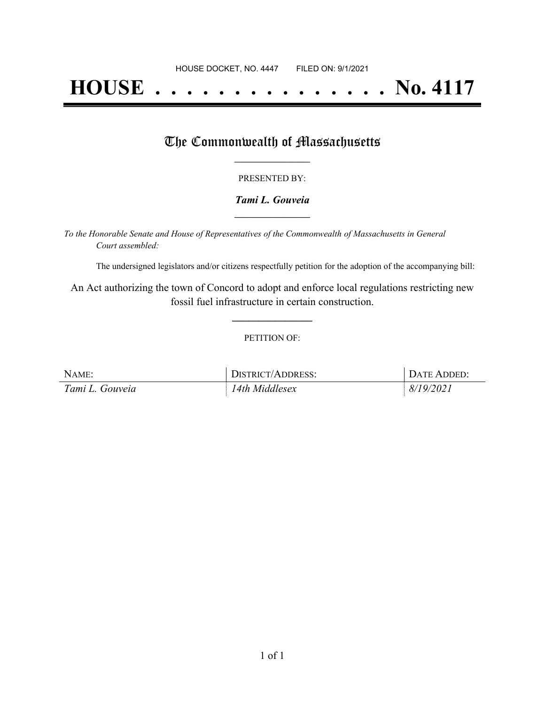# **HOUSE . . . . . . . . . . . . . . . No. 4117**

### The Commonwealth of Massachusetts

#### PRESENTED BY:

#### *Tami L. Gouveia* **\_\_\_\_\_\_\_\_\_\_\_\_\_\_\_\_\_**

*To the Honorable Senate and House of Representatives of the Commonwealth of Massachusetts in General Court assembled:*

The undersigned legislators and/or citizens respectfully petition for the adoption of the accompanying bill:

An Act authorizing the town of Concord to adopt and enforce local regulations restricting new fossil fuel infrastructure in certain construction.

**\_\_\_\_\_\_\_\_\_\_\_\_\_\_\_**

#### PETITION OF:

| NAME:           | DISTRICT/ADDRESS: | DATE ADDED: |
|-----------------|-------------------|-------------|
| Tami L. Gouveia | 14th Middlesex    | 8/19/2021   |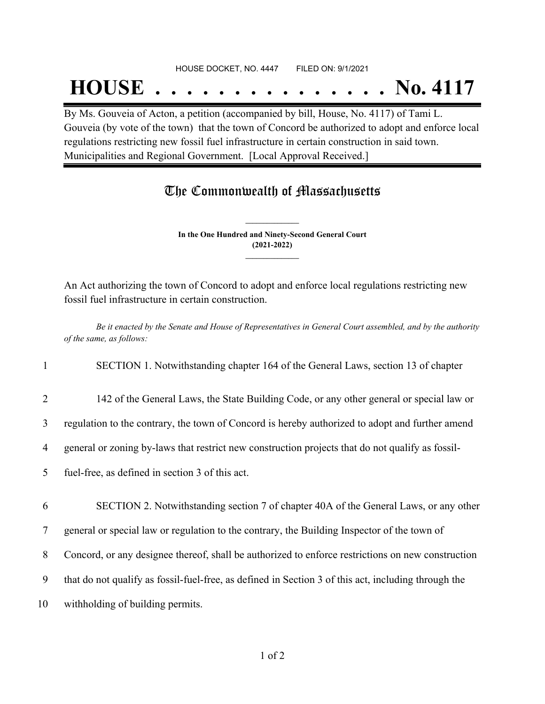#### HOUSE DOCKET, NO. 4447 FILED ON: 9/1/2021

## **HOUSE . . . . . . . . . . . . . . . No. 4117**

By Ms. Gouveia of Acton, a petition (accompanied by bill, House, No. 4117) of Tami L. Gouveia (by vote of the town) that the town of Concord be authorized to adopt and enforce local regulations restricting new fossil fuel infrastructure in certain construction in said town. Municipalities and Regional Government. [Local Approval Received.]

## The Commonwealth of Massachusetts

**In the One Hundred and Ninety-Second General Court (2021-2022) \_\_\_\_\_\_\_\_\_\_\_\_\_\_\_**

**\_\_\_\_\_\_\_\_\_\_\_\_\_\_\_**

An Act authorizing the town of Concord to adopt and enforce local regulations restricting new fossil fuel infrastructure in certain construction.

Be it enacted by the Senate and House of Representatives in General Court assembled, and by the authority *of the same, as follows:*

1 SECTION 1. Notwithstanding chapter 164 of the General Laws, section 13 of chapter

2 142 of the General Laws, the State Building Code, or any other general or special law or

3 regulation to the contrary, the town of Concord is hereby authorized to adopt and further amend

4 general or zoning by-laws that restrict new construction projects that do not qualify as fossil-

5 fuel-free, as defined in section 3 of this act.

6 SECTION 2. Notwithstanding section 7 of chapter 40A of the General Laws, or any other

7 general or special law or regulation to the contrary, the Building Inspector of the town of

8 Concord, or any designee thereof, shall be authorized to enforce restrictions on new construction

- 9 that do not qualify as fossil-fuel-free, as defined in Section 3 of this act, including through the
- 10 withholding of building permits.